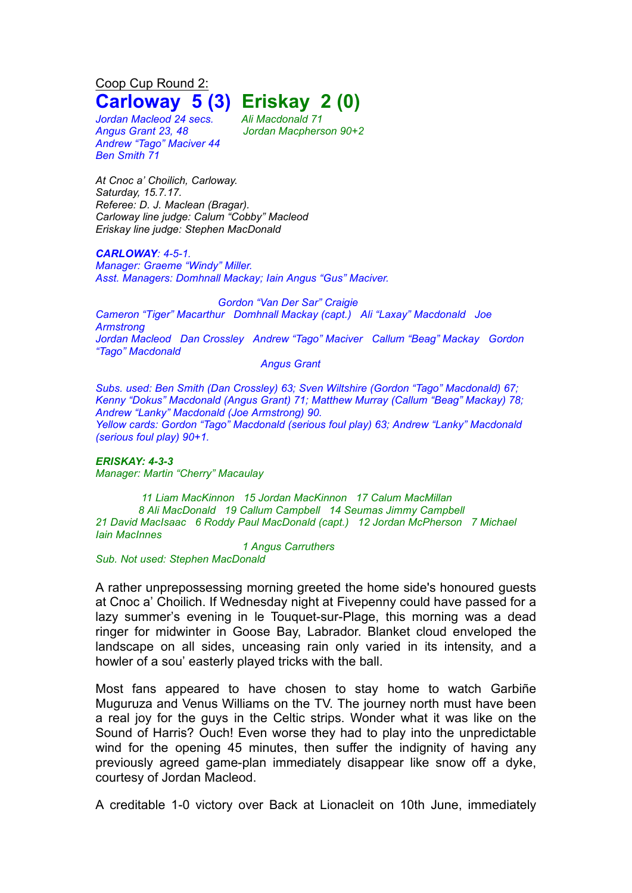Coop Cup Round 2: **Carloway 5 (3) Eriskay 2 (0)**

*Jordan Macleod 24 secs. Ali Macdonald 71 Andrew "Tago" Maciver 44 Ben Smith 71*

*Angus Grant 23, 48 Jordan Macpherson 90+2*

*At Cnoc a' Choilich, Carloway. Saturday, 15.7.17. Referee: D. J. Maclean (Bragar). Carloway line judge: Calum "Cobby" Macleod Eriskay line judge: Stephen MacDonald*

*CARLOWAY: 4-5-1.*

*Manager: Graeme "Windy" Miller. Asst. Managers: Domhnall Mackay; Iain Angus "Gus" Maciver.*

*Gordon "Van Der Sar" Craigie Cameron "Tiger" Macarthur Domhnall Mackay (capt.) Ali "Laxay" Macdonald Joe Armstrong Jordan Macleod Dan Crossley Andrew "Tago" Maciver Callum "Beag" Mackay Gordon "Tago" Macdonald*

*Angus Grant*

*Subs. used: Ben Smith (Dan Crossley) 63; Sven Wiltshire (Gordon "Tago" Macdonald) 67; Kenny "Dokus" Macdonald (Angus Grant) 71; Matthew Murray (Callum "Beag" Mackay) 78; Andrew "Lanky" Macdonald (Joe Armstrong) 90. Yellow cards: Gordon "Tago" Macdonald (serious foul play) 63; Andrew "Lanky" Macdonald (serious foul play) 90+1.*

*ERISKAY: 4-3-3 Manager: Martin "Cherry" Macaulay*

 *Liam MacKinnon 15 Jordan MacKinnon 17 Calum MacMillan Ali MacDonald 19 Callum Campbell 14 Seumas Jimmy Campbell David MacIsaac 6 Roddy Paul MacDonald (capt.) 12 Jordan McPherson 7 Michael Iain MacInnes Angus Carruthers*

*Sub. Not used: Stephen MacDonald*

A rather unprepossessing morning greeted the home side's honoured guests at Cnoc a' Choilich. If Wednesday night at Fivepenny could have passed for a lazy summer's evening in le Touquet-sur-Plage, this morning was a dead ringer for midwinter in Goose Bay, Labrador. Blanket cloud enveloped the landscape on all sides, unceasing rain only varied in its intensity, and a howler of a sou' easterly played tricks with the ball.

Most fans appeared to have chosen to stay home to watch Garbiñe Muguruza and Venus Williams on the TV. The journey north must have been a real joy for the guys in the Celtic strips. Wonder what it was like on the Sound of Harris? Ouch! Even worse they had to play into the unpredictable wind for the opening 45 minutes, then suffer the indignity of having any previously agreed game-plan immediately disappear like snow off a dyke, courtesy of Jordan Macleod.

A creditable 1-0 victory over Back at Lionacleit on 10th June, immediately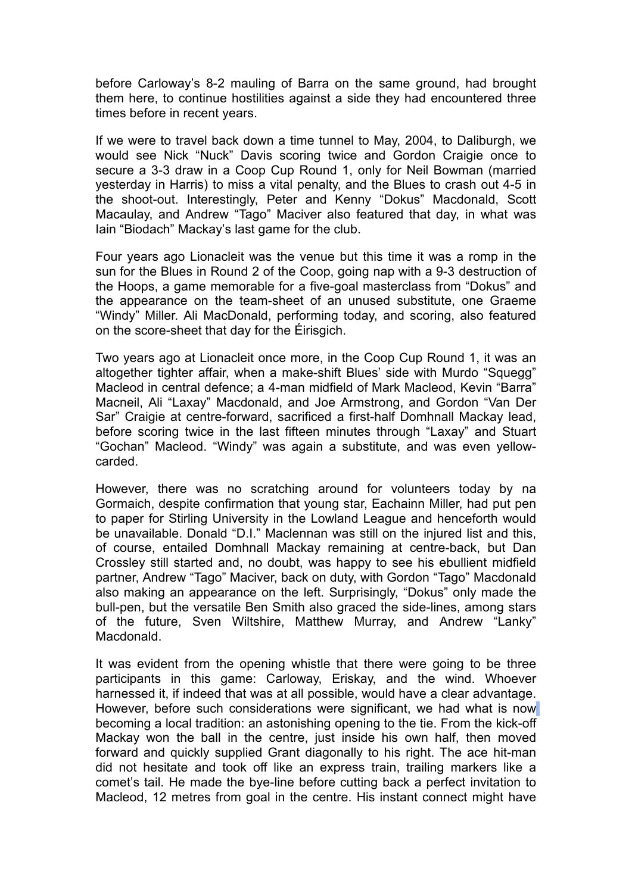before Carloway's 8-2 mauling of Barra on the same ground, had brought them here, to continue hostilities against a side they had encountered three times before in recent years.

If we were to travel back down a time tunnel to May, 2004, to Daliburgh, we would see Nick "Nuck" Davis scoring twice and Gordon Craigie once to secure a 3-3 draw in a Coop Cup Round 1, only for Neil Bowman (married yesterday in Harris) to miss a vital penalty, and the Blues to crash out 4-5 in the shoot-out. Interestingly, Peter and Kenny "Dokus" Macdonald, Scott Macaulay, and Andrew "Tago" Maciver also featured that day, in what was Iain "Biodach" Mackay's last game for the club.

Four years ago Lionacleit was the venue but this time it was a romp in the sun for the Blues in Round 2 of the Coop, going nap with a 9-3 destruction of the Hoops, a game memorable for a five-goal masterclass from "Dokus" and the appearance on the team-sheet of an unused substitute, one Graeme "Windy" Miller. Ali MacDonald, performing today, and scoring, also featured on the score-sheet that day for the Éirisgich.

Two years ago at Lionacleit once more, in the Coop Cup Round 1, it was an altogether tighter affair, when a make-shift Blues' side with Murdo "Squegg" Macleod in central defence; a 4-man midfield of Mark Macleod, Kevin "Barra" Macneil, Ali "Laxay" Macdonald, and Joe Armstrong, and Gordon "Van Der Sar" Craigie at centre-forward, sacrificed a first-half Domhnall Mackay lead, before scoring twice in the last fifteen minutes through "Laxay" and Stuart "Gochan" Macleod. "Windy" was again a substitute, and was even yellowcarded.

However, there was no scratching around for volunteers today by na Gormaich, despite confirmation that young star, Eachainn Miller, had put pen to paper for Stirling University in the Lowland League and henceforth would be unavailable. Donald "D.I." Maclennan was still on the injured list and this, of course, entailed Domhnall Mackay remaining at centre-back, but Dan Crossley still started and, no doubt, was happy to see his ebullient midfield partner, Andrew "Tago" Maciver, back on duty, with Gordon "Tago" Macdonald also making an appearance on the left. Surprisingly, "Dokus" only made the bull-pen, but the versatile Ben Smith also graced the side-lines, among stars of the future, Sven Wiltshire, Matthew Murray, and Andrew "Lanky" Macdonald.

It was evident from the opening whistle that there were going to be three participants in this game: Carloway, Eriskay, and the wind. Whoever harnessed it, if indeed that was at all possible, would have a clear advantage. However, before such considerations were significant, we had what is now becoming a local tradition: an astonishing opening to the tie. From the kick-off Mackay won the ball in the centre, just inside his own half, then moved forward and quickly supplied Grant diagonally to his right. The ace hit-man did not hesitate and took off like an express train, trailing markers like a comet's tail. He made the bye-line before cutting back a perfect invitation to Macleod, 12 metres from goal in the centre. His instant connect might have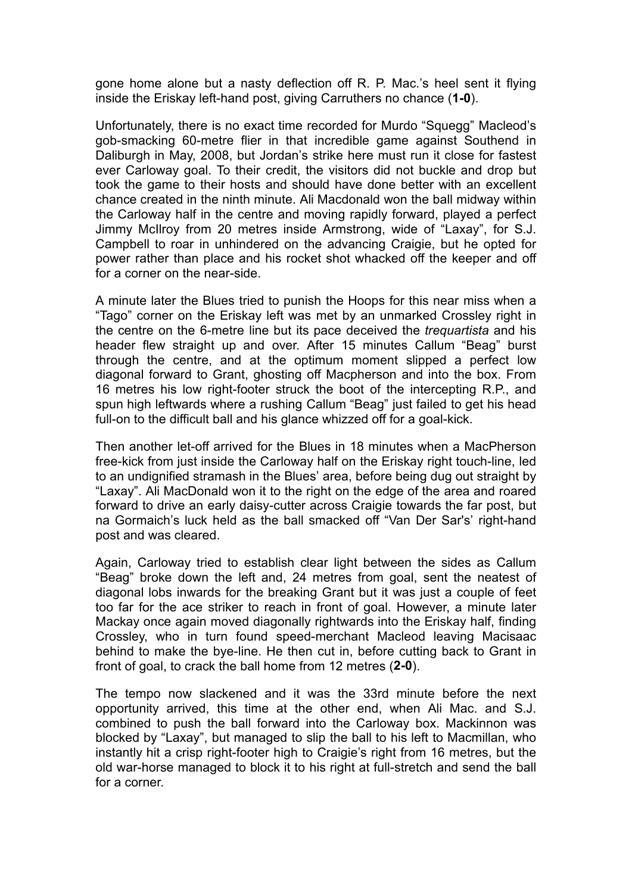gone home alone but a nasty deflection off R. P. Mac.'s heel sent it flying inside the Eriskay left-hand post, giving Carruthers no chance (**1-0**).

Unfortunately, there is no exact time recorded for Murdo "Squegg" Macleod's gob-smacking 60-metre flier in that incredible game against Southend in Daliburgh in May, 2008, but Jordan's strike here must run it close for fastest ever Carloway goal. To their credit, the visitors did not buckle and drop but took the game to their hosts and should have done better with an excellent chance created in the ninth minute. Ali Macdonald won the ball midway within the Carloway half in the centre and moving rapidly forward, played a perfect Jimmy McIlroy from 20 metres inside Armstrong, wide of "Laxay", for S.J. Campbell to roar in unhindered on the advancing Craigie, but he opted for power rather than place and his rocket shot whacked off the keeper and off for a corner on the near-side.

A minute later the Blues tried to punish the Hoops for this near miss when a "Tago" corner on the Eriskay left was met by an unmarked Crossley right in the centre on the 6-metre line but its pace deceived the *trequartista* and his header flew straight up and over. After 15 minutes Callum "Beag" burst through the centre, and at the optimum moment slipped a perfect low diagonal forward to Grant, ghosting off Macpherson and into the box. From 16 metres his low right-footer struck the boot of the intercepting R.P., and spun high leftwards where a rushing Callum "Beag" just failed to get his head full-on to the difficult ball and his glance whizzed off for a goal-kick.

Then another let-off arrived for the Blues in 18 minutes when a MacPherson free-kick from just inside the Carloway half on the Eriskay right touch-line, led to an undignified stramash in the Blues' area, before being dug out straight by "Laxay". Ali MacDonald won it to the right on the edge of the area and roared forward to drive an early daisy-cutter across Craigie towards the far post, but na Gormaich's luck held as the ball smacked off "Van Der Sar's' right-hand post and was cleared.

Again, Carloway tried to establish clear light between the sides as Callum "Beag" broke down the left and, 24 metres from goal, sent the neatest of diagonal lobs inwards for the breaking Grant but it was just a couple of feet too far for the ace striker to reach in front of goal. However, a minute later Mackay once again moved diagonally rightwards into the Eriskay half, finding Crossley, who in turn found speed-merchant Macleod leaving Macisaac behind to make the bye-line. He then cut in, before cutting back to Grant in front of goal, to crack the ball home from 12 metres (**2-0**).

The tempo now slackened and it was the 33rd minute before the next opportunity arrived, this time at the other end, when Ali Mac. and S.J. combined to push the ball forward into the Carloway box. Mackinnon was blocked by "Laxay", but managed to slip the ball to his left to Macmillan, who instantly hit a crisp right-footer high to Craigie's right from 16 metres, but the old war-horse managed to block it to his right at full-stretch and send the ball for a corner.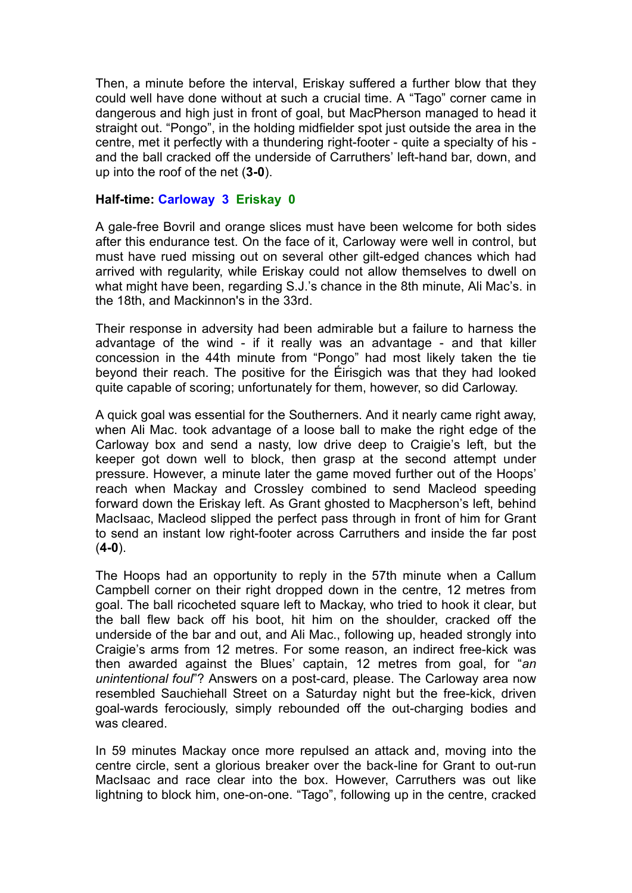Then, a minute before the interval, Eriskay suffered a further blow that they could well have done without at such a crucial time. A "Tago" corner came in dangerous and high just in front of goal, but MacPherson managed to head it straight out. "Pongo", in the holding midfielder spot just outside the area in the centre, met it perfectly with a thundering right-footer - quite a specialty of his and the ball cracked off the underside of Carruthers' left-hand bar, down, and up into the roof of the net (**3-0**).

## **Half-time: Carloway 3 Eriskay 0**

A gale-free Bovril and orange slices must have been welcome for both sides after this endurance test. On the face of it, Carloway were well in control, but must have rued missing out on several other gilt-edged chances which had arrived with regularity, while Eriskay could not allow themselves to dwell on what might have been, regarding S.J.'s chance in the 8th minute, Ali Mac's. in the 18th, and Mackinnon's in the 33rd.

Their response in adversity had been admirable but a failure to harness the advantage of the wind - if it really was an advantage - and that killer concession in the 44th minute from "Pongo" had most likely taken the tie beyond their reach. The positive for the Éirisgich was that they had looked quite capable of scoring; unfortunately for them, however, so did Carloway.

A quick goal was essential for the Southerners. And it nearly came right away, when Ali Mac. took advantage of a loose ball to make the right edge of the Carloway box and send a nasty, low drive deep to Craigie's left, but the keeper got down well to block, then grasp at the second attempt under pressure. However, a minute later the game moved further out of the Hoops' reach when Mackay and Crossley combined to send Macleod speeding forward down the Eriskay left. As Grant ghosted to Macpherson's left, behind MacIsaac, Macleod slipped the perfect pass through in front of him for Grant to send an instant low right-footer across Carruthers and inside the far post (**4-0**).

The Hoops had an opportunity to reply in the 57th minute when a Callum Campbell corner on their right dropped down in the centre, 12 metres from goal. The ball ricocheted square left to Mackay, who tried to hook it clear, but the ball flew back off his boot, hit him on the shoulder, cracked off the underside of the bar and out, and Ali Mac., following up, headed strongly into Craigie's arms from 12 metres. For some reason, an indirect free-kick was then awarded against the Blues' captain, 12 metres from goal, for "*an unintentional foul*"? Answers on a post-card, please. The Carloway area now resembled Sauchiehall Street on a Saturday night but the free-kick, driven goal-wards ferociously, simply rebounded off the out-charging bodies and was cleared.

In 59 minutes Mackay once more repulsed an attack and, moving into the centre circle, sent a glorious breaker over the back-line for Grant to out-run MacIsaac and race clear into the box. However, Carruthers was out like lightning to block him, one-on-one. "Tago", following up in the centre, cracked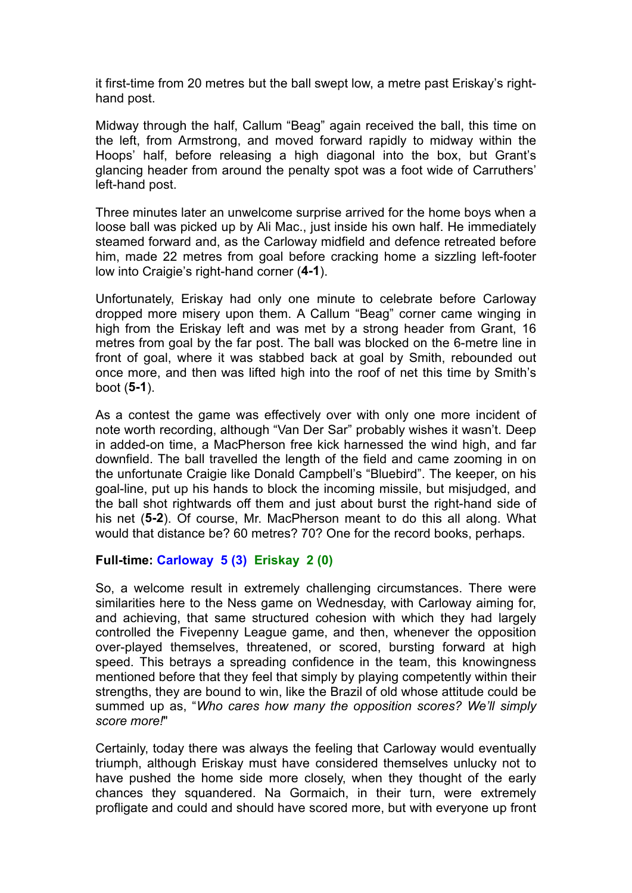it first-time from 20 metres but the ball swept low, a metre past Eriskay's righthand post.

Midway through the half, Callum "Beag" again received the ball, this time on the left, from Armstrong, and moved forward rapidly to midway within the Hoops' half, before releasing a high diagonal into the box, but Grant's glancing header from around the penalty spot was a foot wide of Carruthers' left-hand post.

Three minutes later an unwelcome surprise arrived for the home boys when a loose ball was picked up by Ali Mac., just inside his own half. He immediately steamed forward and, as the Carloway midfield and defence retreated before him, made 22 metres from goal before cracking home a sizzling left-footer low into Craigie's right-hand corner (**4-1**).

Unfortunately, Eriskay had only one minute to celebrate before Carloway dropped more misery upon them. A Callum "Beag" corner came winging in high from the Eriskay left and was met by a strong header from Grant, 16 metres from goal by the far post. The ball was blocked on the 6-metre line in front of goal, where it was stabbed back at goal by Smith, rebounded out once more, and then was lifted high into the roof of net this time by Smith's boot (**5-1**).

As a contest the game was effectively over with only one more incident of note worth recording, although "Van Der Sar" probably wishes it wasn't. Deep in added-on time, a MacPherson free kick harnessed the wind high, and far downfield. The ball travelled the length of the field and came zooming in on the unfortunate Craigie like Donald Campbell's "Bluebird". The keeper, on his goal-line, put up his hands to block the incoming missile, but misjudged, and the ball shot rightwards off them and just about burst the right-hand side of his net (**5-2**). Of course, Mr. MacPherson meant to do this all along. What would that distance be? 60 metres? 70? One for the record books, perhaps.

## **Full-time: Carloway 5 (3) Eriskay 2 (0)**

So, a welcome result in extremely challenging circumstances. There were similarities here to the Ness game on Wednesday, with Carloway aiming for, and achieving, that same structured cohesion with which they had largely controlled the Fivepenny League game, and then, whenever the opposition over-played themselves, threatened, or scored, bursting forward at high speed. This betrays a spreading confidence in the team, this knowingness mentioned before that they feel that simply by playing competently within their strengths, they are bound to win, like the Brazil of old whose attitude could be summed up as, "*Who cares how many the opposition scores? We'll simply score more!*"

Certainly, today there was always the feeling that Carloway would eventually triumph, although Eriskay must have considered themselves unlucky not to have pushed the home side more closely, when they thought of the early chances they squandered. Na Gormaich, in their turn, were extremely profligate and could and should have scored more, but with everyone up front